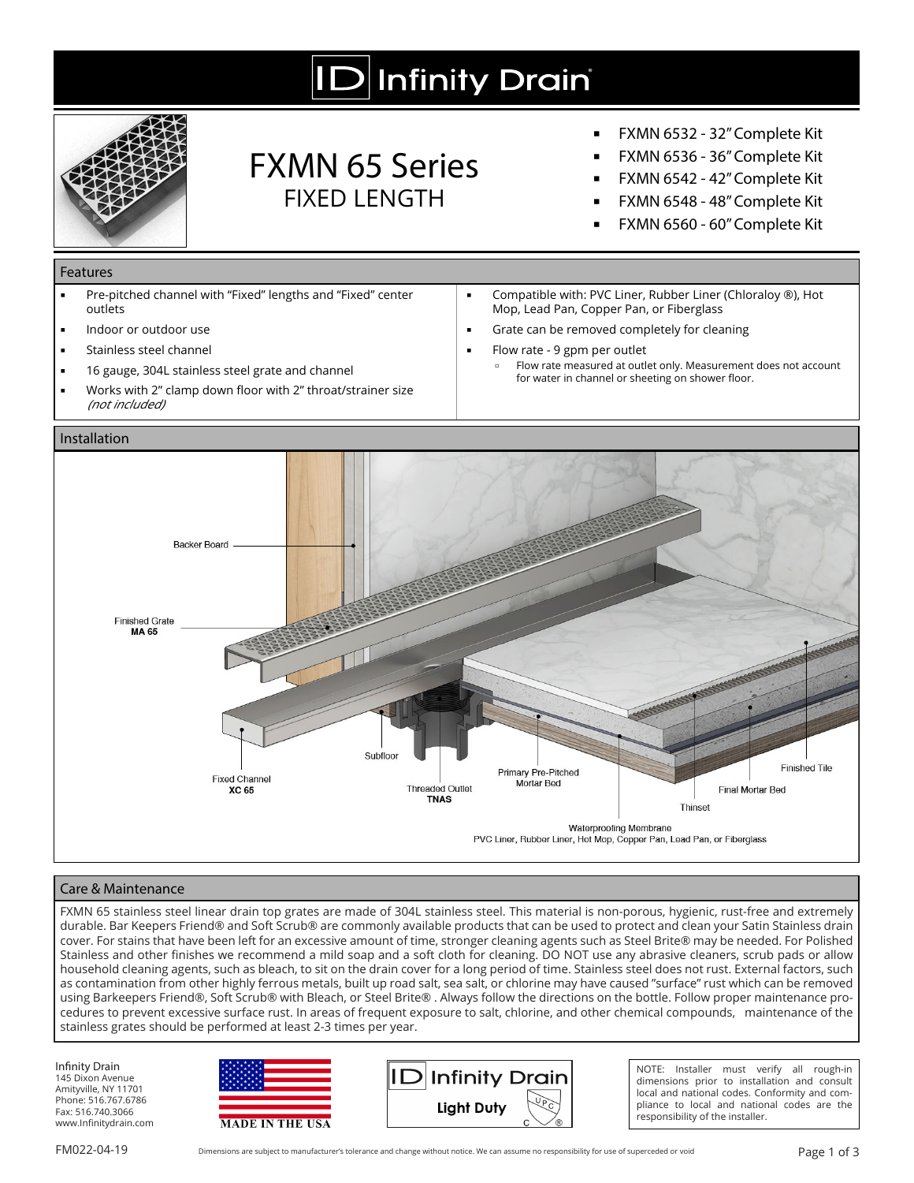# **ID** Infinity Drain



### FXMN 65 Series FIXED LENGTH

- **▪** FXMN 6532 32" Complete Kit
- **▪** FXMN 6536 36" Complete Kit
- **▪** FXMN 6542 42" Complete Kit
- **▪** FXMN 6548 48" Complete Kit
- **▪** FXMN 6560 60" Complete Kit

**▪** Compatible with: PVC Liner, Rubber Liner (Chloraloy ®), Hot

for water in channel or sheeting on shower floor.

**▫** Flow rate measured at outlet only. Measurement does not account

Mop, Lead Pan, Copper Pan, or Fiberglass Grate can be removed completely for cleaning

**▪** Flow rate - 9 gpm per outlet

#### Features

- **▪** Pre-pitched channel with "Fixed" lengths and "Fixed" center outlets
- **▪** Indoor or outdoor use
- **Stainless steel channel**
- 16 gauge, 304L stainless steel grate and channel
- Works with 2" clamp down floor with 2" throat/strainer size (not included)

#### Installation



#### Care & Maintenance

FXMN 65 stainless steel linear drain top grates are made of 304L stainless steel. This material is non-porous, hygienic, rust-free and extremely durable. Bar Keepers Friend® and Soft Scrub® are commonly available products that can be used to protect and clean your Satin Stainless drain cover. For stains that have been left for an excessive amount of time, stronger cleaning agents such as Steel Brite® may be needed. For Polished Stainless and other finishes we recommend a mild soap and a soft cloth for cleaning. DO NOT use any abrasive cleaners, scrub pads or allow household cleaning agents, such as bleach, to sit on the drain cover for a long period of time. Stainless steel does not rust. External factors, such as contamination from other highly ferrous metals, built up road salt, sea salt, or chlorine may have caused "surface" rust which can be removed using Barkeepers Friend®, Soft Scrub® with Bleach, or Steel Brite® . Always follow the directions on the bottle. Follow proper maintenance procedures to prevent excessive surface rust. In areas of frequent exposure to salt, chlorine, and other chemical compounds, maintenance of the stainless grates should be performed at least 2-3 times per year.

Infinity Drain 145 Dixon Avenue Amityville, NY 11701 Phone: 516.767.6786 Fax: 516.740.3066 www.Infinitydrain.com





NOTE: Installer must verify all rough-in dimensions prior to installation and consult local and national codes. Conformity and compliance to local and national codes are the responsibility of the installer.

FM022-04-19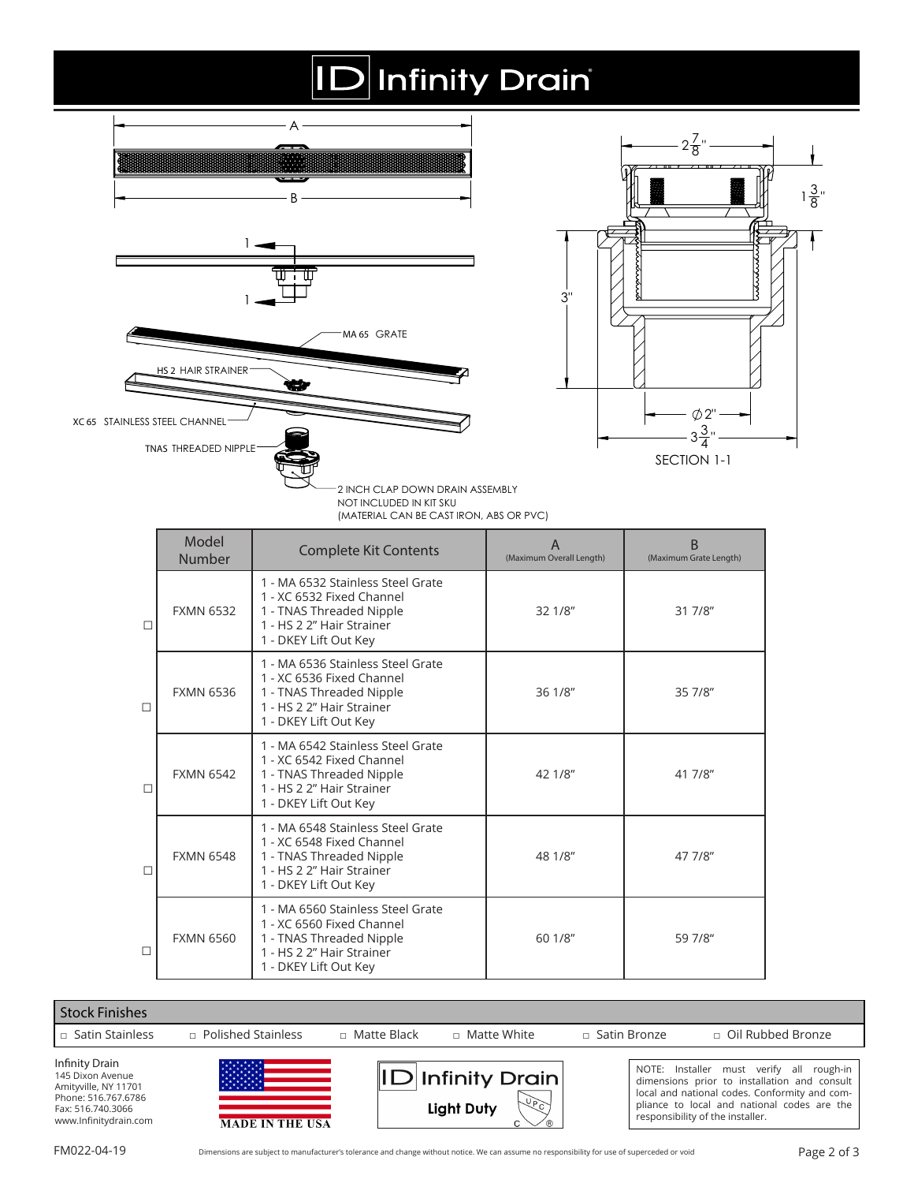# $|D|$ Infinity Drain



|        | Model<br>Number  | <b>Complete Kit Contents</b>                                                                                                                     | $\overline{A}$<br>(Maximum Overall Length) | B<br>(Maximum Grate Length) |
|--------|------------------|--------------------------------------------------------------------------------------------------------------------------------------------------|--------------------------------------------|-----------------------------|
| $\Box$ | <b>FXMN 6532</b> | 1 - MA 6532 Stainless Steel Grate<br>1 - XC 6532 Fixed Channel<br>1 - TNAS Threaded Nipple<br>1 - HS 2 2" Hair Strainer<br>1 - DKEY Lift Out Key | 32 1/8"                                    | 31 7/8"                     |
| П      | <b>FXMN 6536</b> | 1 - MA 6536 Stainless Steel Grate<br>1 - XC 6536 Fixed Channel<br>1 - TNAS Threaded Nipple<br>1 - HS 2 2" Hair Strainer<br>1 - DKEY Lift Out Key | 36 1/8"                                    | 35 7/8"                     |
| $\Box$ | <b>FXMN 6542</b> | 1 - MA 6542 Stainless Steel Grate<br>1 - XC 6542 Fixed Channel<br>1 - TNAS Threaded Nipple<br>1 - HS 2 2" Hair Strainer<br>1 - DKEY Lift Out Key | 42 1/8"                                    | 41 7/8"                     |
| П      | <b>FXMN 6548</b> | 1 - MA 6548 Stainless Steel Grate<br>1 - XC 6548 Fixed Channel<br>1 - TNAS Threaded Nipple<br>1 - HS 2 2" Hair Strainer<br>1 - DKEY Lift Out Key | 48 1/8"                                    | 47 7/8"                     |
| П      | <b>FXMN 6560</b> | 1 - MA 6560 Stainless Steel Grate<br>1 - XC 6560 Fixed Channel<br>1 - TNAS Threaded Nipple<br>1 - HS 2 2" Hair Strainer<br>1 - DKEY Lift Out Key | 60 1/8"                                    | 59 7/8"                     |

| <b>Stock Finishes</b>                                                                                                                  |                                     |                    |                                            |                |                                                                                                                                                                                                                              |
|----------------------------------------------------------------------------------------------------------------------------------------|-------------------------------------|--------------------|--------------------------------------------|----------------|------------------------------------------------------------------------------------------------------------------------------------------------------------------------------------------------------------------------------|
| $\Box$ Satin Stainless                                                                                                                 | $\Box$ Polished Stainless           | $\Box$ Matte Black | $\Box$ Matte White                         | □ Satin Bronze | $\Box$ Oil Rubbed Bronze                                                                                                                                                                                                     |
| <b>Infinity Drain</b><br>145 Dixon Avenue<br>Amityville, NY 11701<br>Phone: 516.767.6786<br>Fax: 516.740.3066<br>www.Infinitydrain.com | 辩辩<br>MAG<br><b>MADE IN THE USA</b> |                    | $\ D $ Infinity Drain<br>450<br>Light Duty |                | NOTE: Installer must verify all rough-in<br>dimensions prior to installation and consult<br>local and national codes. Conformity and com-<br>pliance to local and national codes are the<br>responsibility of the installer. |